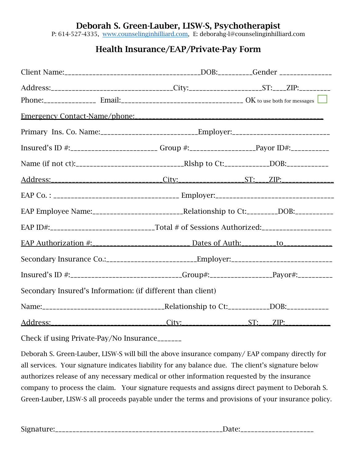P: 614-527-4335, www.counselinginhilliard.com, E: deborahg-l@counselinginhilliard.com

## Health Insurance/EAP/Private-Pay Form

| Address:_________________________________City:________________________ST:____ZIP:__________         |                                                                                                      |  |  |  |  |
|-----------------------------------------------------------------------------------------------------|------------------------------------------------------------------------------------------------------|--|--|--|--|
|                                                                                                     |                                                                                                      |  |  |  |  |
|                                                                                                     |                                                                                                      |  |  |  |  |
|                                                                                                     |                                                                                                      |  |  |  |  |
| Insured's ID #:_________________________Group #:_________________________Payor ID#:________________ |                                                                                                      |  |  |  |  |
|                                                                                                     |                                                                                                      |  |  |  |  |
|                                                                                                     |                                                                                                      |  |  |  |  |
|                                                                                                     |                                                                                                      |  |  |  |  |
|                                                                                                     |                                                                                                      |  |  |  |  |
|                                                                                                     | EAP ID#:________________________________Total # of Sessions Authorized:______________________        |  |  |  |  |
|                                                                                                     |                                                                                                      |  |  |  |  |
|                                                                                                     |                                                                                                      |  |  |  |  |
|                                                                                                     | Insured's ID #:_____________________________Group#:_____________________Payor#:_____________________ |  |  |  |  |
| Secondary Insured's Information: (if different than client)                                         |                                                                                                      |  |  |  |  |
|                                                                                                     |                                                                                                      |  |  |  |  |
|                                                                                                     |                                                                                                      |  |  |  |  |

Check if using Private-Pay/No Insurance\_\_\_\_\_\_\_

Deborah S. Green-Lauber, LISW-S will bill the above insurance company/ EAP company directly for all services. Your signature indicates liability for any balance due. The client's signature below authorizes release of any necessary medical or other information requested by the insurance company to process the claim. Your signature requests and assigns direct payment to Deborah S. Green-Lauber, LISW-S all proceeds payable under the terms and provisions of your insurance policy.

| .<br>. . |  |
|----------|--|
|          |  |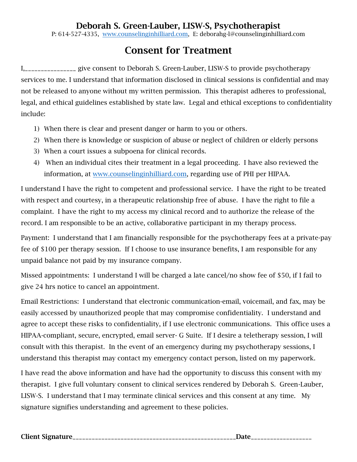P: 614-527-4335, www.counselinginhilliard.com, E: deborahg-l@counselinginhilliard.com

# Consent for Treatment

I,\_\_\_\_\_\_\_\_\_\_\_\_\_\_\_\_ give consent to Deborah S. Green-Lauber, LISW-S to provide psychotherapy services to me. I understand that information disclosed in clinical sessions is confidential and may not be released to anyone without my written permission. This therapist adheres to professional, legal, and ethical guidelines established by state law. Legal and ethical exceptions to confidentiality include:

- 1) When there is clear and present danger or harm to you or others.
- 2) When there is knowledge or suspicion of abuse or neglect of children or elderly persons
- 3) When a court issues a subpoena for clinical records.
- 4) When an individual cites their treatment in a legal proceeding. I have also reviewed the information, at www.counselinginhilliard.com, regarding use of PHI per HIPAA.

I understand I have the right to competent and professional service. I have the right to be treated with respect and courtesy, in a therapeutic relationship free of abuse. I have the right to file a complaint. I have the right to my access my clinical record and to authorize the release of the record. I am responsible to be an active, collaborative participant in my therapy process.

Payment: I understand that I am financially responsible for the psychotherapy fees at a private-pay fee of \$100 per therapy session. If I choose to use insurance benefits, I am responsible for any unpaid balance not paid by my insurance company.

Missed appointments: I understand I will be charged a late cancel/no show fee of \$50, if I fail to give 24 hrs notice to cancel an appointment.

Email Restrictions: I understand that electronic communication-email, voicemail, and fax, may be easily accessed by unauthorized people that may compromise confidentiality. I understand and agree to accept these risks to confidentiality, if I use electronic communications. This office uses a HIPAA-compliant, secure, encrypted, email server- G Suite. If I desire a teletherapy session, I will consult with this therapist. In the event of an emergency during my psychotherapy sessions, I understand this therapist may contact my emergency contact person, listed on my paperwork.

I have read the above information and have had the opportunity to discuss this consent with my therapist. I give full voluntary consent to clinical services rendered by Deborah S. Green-Lauber, LISW-S. I understand that I may terminate clinical services and this consent at any time. My signature signifies understanding and agreement to these policies.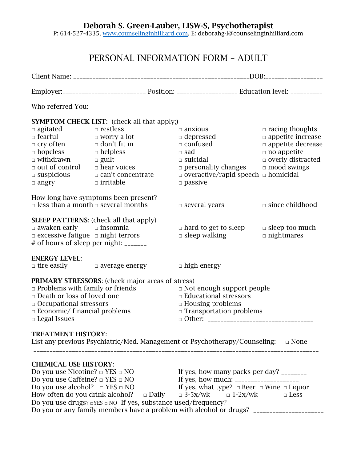P: 614-527-4335, www.counselinginhilliard.com, E: deborahg-l@counselinginhilliard.com

# PERSONAL INFORMATION FORM – ADULT

|                                                                                             | <b>SYMPTOM CHECK LIST:</b> (check all that apply;)      |                                                                                         |                                                          |  |  |
|---------------------------------------------------------------------------------------------|---------------------------------------------------------|-----------------------------------------------------------------------------------------|----------------------------------------------------------|--|--|
| $\Box$ agitated                                                                             | $\Box$ restless                                         | $\Box$ anxious                                                                          | $\Box$ racing thoughts                                   |  |  |
| $\Box$ fearful                                                                              | $\Box$ worry a lot                                      | $\Box$ depressed                                                                        | $\Box$ appetite increase                                 |  |  |
| $\Box$ cry often                                                                            | $\Box$ don't fit in                                     | $\Box$ confused                                                                         | $\Box$ appetite decrease                                 |  |  |
| $\Box$ hopeless                                                                             | $\Box$ helpless                                         | $\square$ sad                                                                           | $\Box$ no appetite                                       |  |  |
| $\Box$ withdrawn                                                                            | $\Box$ guilt                                            | $\Box$ suicidal                                                                         | $\Box$ overly distracted                                 |  |  |
| $\Box$ out of control                                                                       | $\Box$ hear voices                                      | $\Box$ personality changes                                                              | $\Box$ mood swings                                       |  |  |
| $\Box$ suspicious                                                                           | $\Box$ can't concentrate                                | $\Box$ overactive/rapid speech $\Box$ homicidal                                         |                                                          |  |  |
| $\Box$ angry                                                                                | $\Box$ irritable                                        | $\Box$ passive                                                                          |                                                          |  |  |
|                                                                                             | How long have symptoms been present?                    |                                                                                         |                                                          |  |  |
|                                                                                             | $\Box$ less than a month $\Box$ several months          | $\Box$ several years                                                                    | $\Box$ since childhood                                   |  |  |
|                                                                                             | <b>SLEEP PATTERNS:</b> (check all that apply)           |                                                                                         |                                                          |  |  |
| $\Box$ awaken early $\Box$ insomnia                                                         |                                                         | $\Box$ hard to get to sleep                                                             | $\Box$ sleep too much                                    |  |  |
| $\Box$ excessive fatigue $\Box$ night terrors                                               |                                                         | $\Box$ sleep walking                                                                    | $\Box$ nightmares                                        |  |  |
|                                                                                             | # of hours of sleep per night: _______                  |                                                                                         |                                                          |  |  |
| <b>ENERGY LEVEL:</b>                                                                        |                                                         |                                                                                         |                                                          |  |  |
|                                                                                             | $\Box$ tire easily $\Box$ average energy                | $\Box$ high energy                                                                      |                                                          |  |  |
|                                                                                             | <b>PRIMARY STRESSORS:</b> (check major areas of stress) |                                                                                         |                                                          |  |  |
| $\Box$ Problems with family or friends                                                      |                                                         | $\Box$ Not enough support people                                                        |                                                          |  |  |
| $\Box$ Death or loss of loved one                                                           |                                                         | $\Box$ Educational stressors                                                            |                                                          |  |  |
| $\Box$ Occupational stressors                                                               |                                                         | $\Box$ Housing problems                                                                 |                                                          |  |  |
| $\Box$ Economic/ financial problems                                                         |                                                         | $\Box$ Transportation problems                                                          |                                                          |  |  |
| $\Box$ Legal Issues                                                                         |                                                         |                                                                                         |                                                          |  |  |
| <b>TREATMENT HISTORY:</b>                                                                   |                                                         |                                                                                         |                                                          |  |  |
|                                                                                             |                                                         | List any previous Psychiatric/Med. Management or Psychotherapy/Counseling: $\Box$ None  |                                                          |  |  |
|                                                                                             |                                                         |                                                                                         |                                                          |  |  |
| <b>CHEMICAL USE HISTORY:</b>                                                                |                                                         |                                                                                         |                                                          |  |  |
| Do you use Nicotine? $\square$ YES $\square$ NO<br>If yes, how many packs per day? ________ |                                                         |                                                                                         |                                                          |  |  |
| Do you use Caffeine? $\square$ YES $\square$ NO                                             |                                                         |                                                                                         |                                                          |  |  |
| Do you use alcohol? $\Box$ YES $\Box$ NO                                                    |                                                         |                                                                                         | If yes, what type? $\Box$ Beer $\Box$ Wine $\Box$ Liquor |  |  |
| How often do you drink alcohol?                                                             | $\Box$ Daily                                            | $\Box$ 3-5x/wk $\Box$ 1-2x/wk                                                           | $\Box$ Less                                              |  |  |
|                                                                                             |                                                         | Do you or any family members have a problem with alcohol or drugs? ____________________ |                                                          |  |  |
|                                                                                             |                                                         |                                                                                         |                                                          |  |  |